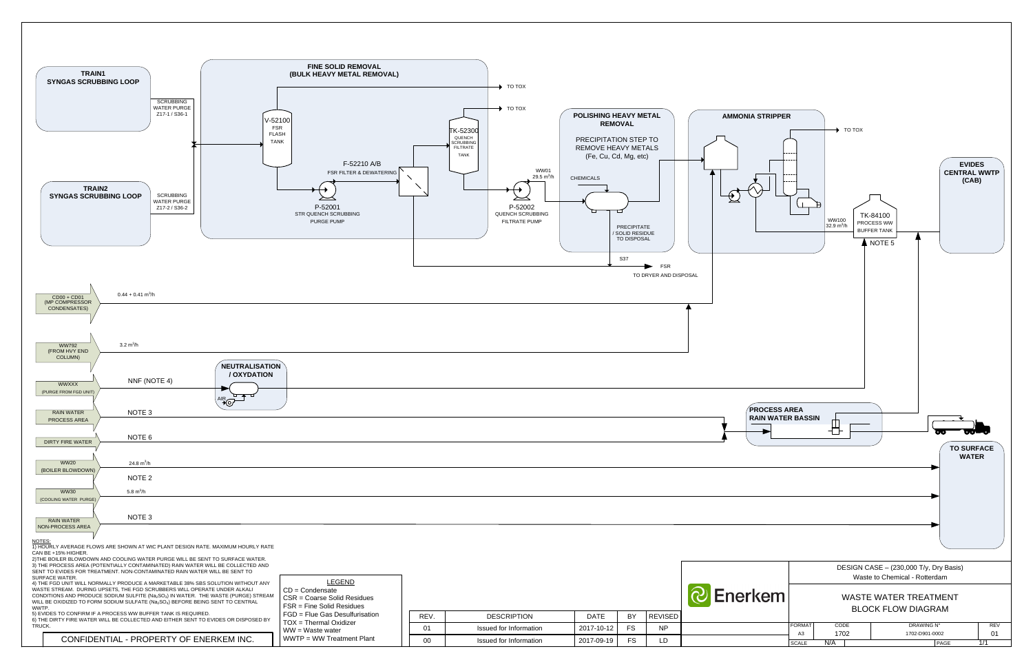